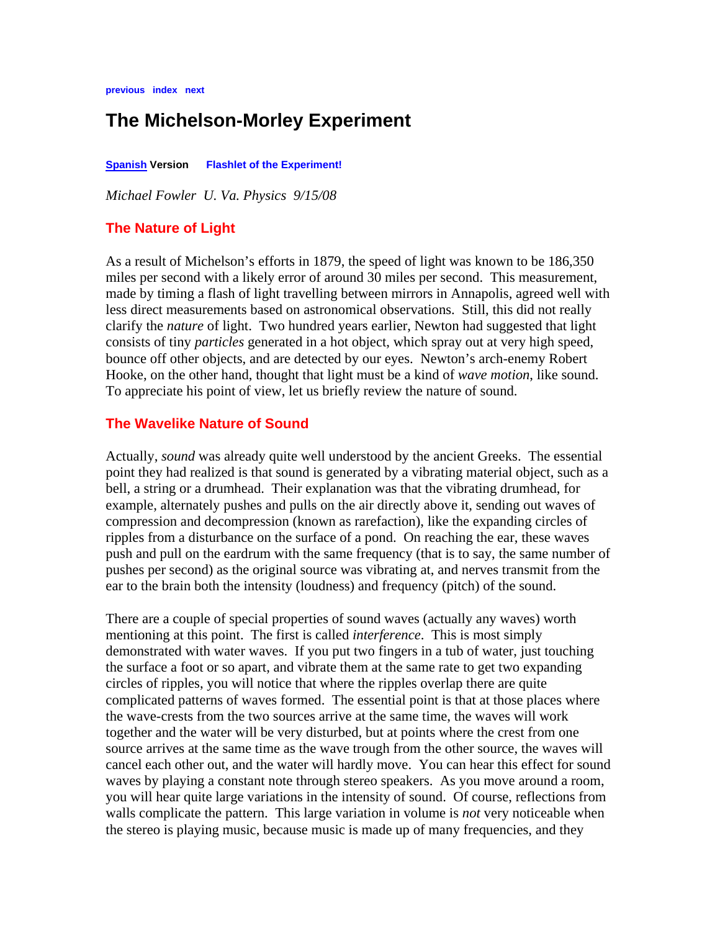**[previous](http://galileoandeinstein.physics.virginia.edu/lectures/spedlite.pdf) [index](http://galileoandeinstein.physics.virginia.edu/lectures/lecturelist.html) [next](http://galileoandeinstein.physics.virginia.edu/lectures/spec_rel.pdf)**

# **The Michelson-Morley Experiment**

**[Spanish](http://galileoandeinstein.physics.virginia.edu/lectures/Michelson-Morley_Sp.htm) Version [Flashlet of the Experiment!](http://galileoandeinstein.physics.virginia.edu/more_stuff/flashlets/mmexpt6.htm)**

*Michael Fowler U. Va. Physics 9/15/08* 

# **The Nature of Light**

As a result of Michelson's efforts in 1879, the speed of light was known to be 186,350 miles per second with a likely error of around 30 miles per second. This measurement, made by timing a flash of light travelling between mirrors in Annapolis, agreed well with less direct measurements based on astronomical observations. Still, this did not really clarify the *nature* of light. Two hundred years earlier, Newton had suggested that light consists of tiny *particles* generated in a hot object, which spray out at very high speed, bounce off other objects, and are detected by our eyes. Newton's arch-enemy Robert Hooke, on the other hand, thought that light must be a kind of *wave motion*, like sound. To appreciate his point of view, let us briefly review the nature of sound.

## **The Wavelike Nature of Sound**

Actually, *sound* was already quite well understood by the ancient Greeks. The essential point they had realized is that sound is generated by a vibrating material object, such as a bell, a string or a drumhead. Their explanation was that the vibrating drumhead, for example, alternately pushes and pulls on the air directly above it, sending out waves of compression and decompression (known as rarefaction), like the expanding circles of ripples from a disturbance on the surface of a pond. On reaching the ear, these waves push and pull on the eardrum with the same frequency (that is to say, the same number of pushes per second) as the original source was vibrating at, and nerves transmit from the ear to the brain both the intensity (loudness) and frequency (pitch) of the sound.

There are a couple of special properties of sound waves (actually any waves) worth mentioning at this point. The first is called *interference*. This is most simply demonstrated with water waves. If you put two fingers in a tub of water, just touching the surface a foot or so apart, and vibrate them at the same rate to get two expanding circles of ripples, you will notice that where the ripples overlap there are quite complicated patterns of waves formed. The essential point is that at those places where the wave-crests from the two sources arrive at the same time, the waves will work together and the water will be very disturbed, but at points where the crest from one source arrives at the same time as the wave trough from the other source, the waves will cancel each other out, and the water will hardly move. You can hear this effect for sound waves by playing a constant note through stereo speakers. As you move around a room, you will hear quite large variations in the intensity of sound. Of course, reflections from walls complicate the pattern. This large variation in volume is *not* very noticeable when the stereo is playing music, because music is made up of many frequencies, and they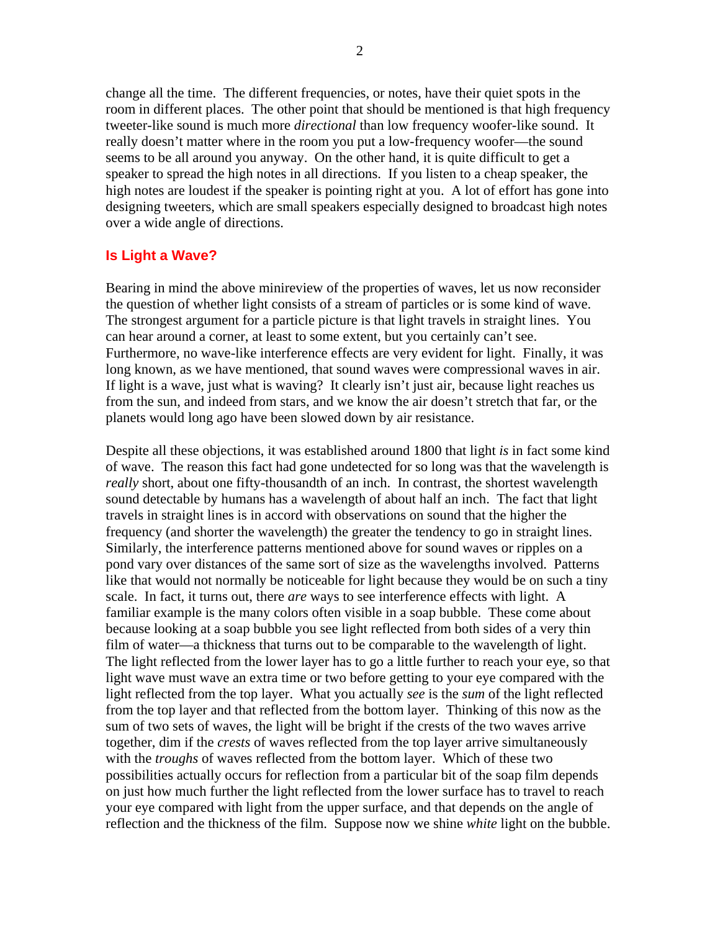change all the time. The different frequencies, or notes, have their quiet spots in the room in different places. The other point that should be mentioned is that high frequency tweeter-like sound is much more *directional* than low frequency woofer-like sound. It really doesn't matter where in the room you put a low-frequency woofer—the sound seems to be all around you anyway. On the other hand, it is quite difficult to get a speaker to spread the high notes in all directions. If you listen to a cheap speaker, the high notes are loudest if the speaker is pointing right at you. A lot of effort has gone into designing tweeters, which are small speakers especially designed to broadcast high notes over a wide angle of directions.

#### **Is Light a Wave?**

Bearing in mind the above minireview of the properties of waves, let us now reconsider the question of whether light consists of a stream of particles or is some kind of wave. The strongest argument for a particle picture is that light travels in straight lines. You can hear around a corner, at least to some extent, but you certainly can't see. Furthermore, no wave-like interference effects are very evident for light. Finally, it was long known, as we have mentioned, that sound waves were compressional waves in air. If light is a wave, just what is waving? It clearly isn't just air, because light reaches us from the sun, and indeed from stars, and we know the air doesn't stretch that far, or the planets would long ago have been slowed down by air resistance.

Despite all these objections, it was established around 1800 that light *is* in fact some kind of wave. The reason this fact had gone undetected for so long was that the wavelength is *really* short, about one fifty-thousandth of an inch. In contrast, the shortest wavelength sound detectable by humans has a wavelength of about half an inch. The fact that light travels in straight lines is in accord with observations on sound that the higher the frequency (and shorter the wavelength) the greater the tendency to go in straight lines. Similarly, the interference patterns mentioned above for sound waves or ripples on a pond vary over distances of the same sort of size as the wavelengths involved. Patterns like that would not normally be noticeable for light because they would be on such a tiny scale. In fact, it turns out, there *are* ways to see interference effects with light. A familiar example is the many colors often visible in a soap bubble. These come about because looking at a soap bubble you see light reflected from both sides of a very thin film of water—a thickness that turns out to be comparable to the wavelength of light. The light reflected from the lower layer has to go a little further to reach your eye, so that light wave must wave an extra time or two before getting to your eye compared with the light reflected from the top layer. What you actually *see* is the *sum* of the light reflected from the top layer and that reflected from the bottom layer. Thinking of this now as the sum of two sets of waves, the light will be bright if the crests of the two waves arrive together, dim if the *crests* of waves reflected from the top layer arrive simultaneously with the *troughs* of waves reflected from the bottom layer. Which of these two possibilities actually occurs for reflection from a particular bit of the soap film depends on just how much further the light reflected from the lower surface has to travel to reach your eye compared with light from the upper surface, and that depends on the angle of reflection and the thickness of the film. Suppose now we shine *white* light on the bubble.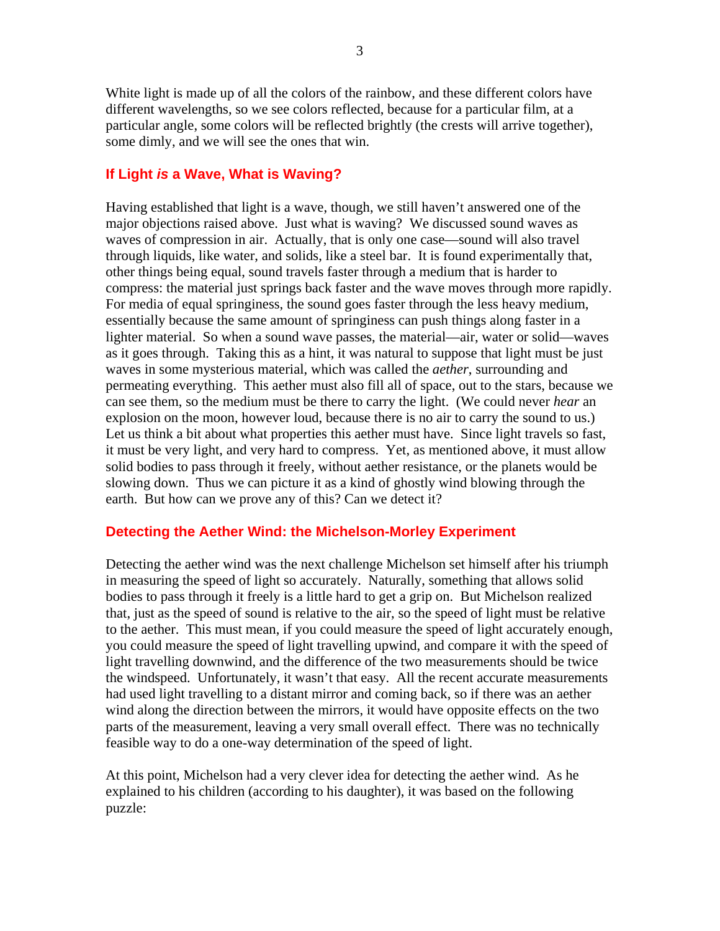White light is made up of all the colors of the rainbow, and these different colors have different wavelengths, so we see colors reflected, because for a particular film, at a particular angle, some colors will be reflected brightly (the crests will arrive together), some dimly, and we will see the ones that win.

#### **If Light** *is* **a Wave, What is Waving?**

Having established that light is a wave, though, we still haven't answered one of the major objections raised above. Just what is waving? We discussed sound waves as waves of compression in air. Actually, that is only one case—sound will also travel through liquids, like water, and solids, like a steel bar. It is found experimentally that, other things being equal, sound travels faster through a medium that is harder to compress: the material just springs back faster and the wave moves through more rapidly. For media of equal springiness, the sound goes faster through the less heavy medium, essentially because the same amount of springiness can push things along faster in a lighter material. So when a sound wave passes, the material—air, water or solid—waves as it goes through. Taking this as a hint, it was natural to suppose that light must be just waves in some mysterious material, which was called the *aether*, surrounding and permeating everything. This aether must also fill all of space, out to the stars, because we can see them, so the medium must be there to carry the light. (We could never *hear* an explosion on the moon, however loud, because there is no air to carry the sound to us.) Let us think a bit about what properties this aether must have. Since light travels so fast, it must be very light, and very hard to compress. Yet, as mentioned above, it must allow solid bodies to pass through it freely, without aether resistance, or the planets would be slowing down. Thus we can picture it as a kind of ghostly wind blowing through the earth. But how can we prove any of this? Can we detect it?

#### **Detecting the Aether Wind: the Michelson-Morley Experiment**

Detecting the aether wind was the next challenge Michelson set himself after his triumph in measuring the speed of light so accurately. Naturally, something that allows solid bodies to pass through it freely is a little hard to get a grip on. But Michelson realized that, just as the speed of sound is relative to the air, so the speed of light must be relative to the aether. This must mean, if you could measure the speed of light accurately enough, you could measure the speed of light travelling upwind, and compare it with the speed of light travelling downwind, and the difference of the two measurements should be twice the windspeed. Unfortunately, it wasn't that easy. All the recent accurate measurements had used light travelling to a distant mirror and coming back, so if there was an aether wind along the direction between the mirrors, it would have opposite effects on the two parts of the measurement, leaving a very small overall effect. There was no technically feasible way to do a one-way determination of the speed of light.

At this point, Michelson had a very clever idea for detecting the aether wind. As he explained to his children (according to his daughter), it was based on the following puzzle: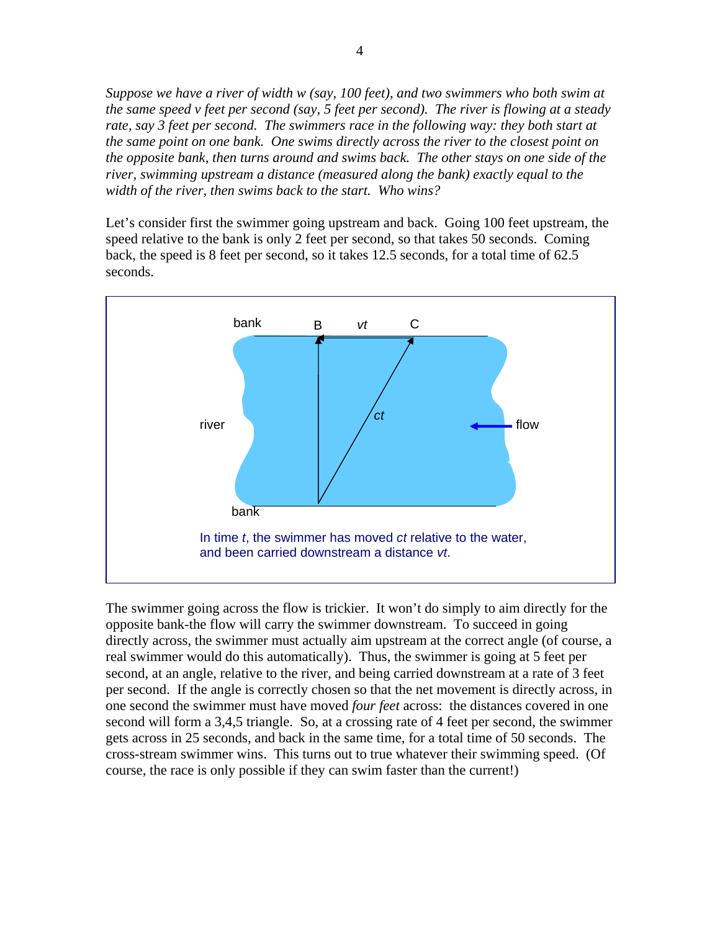*Suppose we have a river of width w (say, 100 feet), and two swimmers who both swim at the same speed v feet per second (say, 5 feet per second). The river is flowing at a steady rate, say 3 feet per second. The swimmers race in the following way: they both start at the same point on one bank. One swims directly across the river to the closest point on the opposite bank, then turns around and swims back. The other stays on one side of the river, swimming upstream a distance (measured along the bank) exactly equal to the width of the river, then swims back to the start. Who wins?*

Let's consider first the swimmer going upstream and back. Going 100 feet upstream, the speed relative to the bank is only 2 feet per second, so that takes 50 seconds. Coming back, the speed is 8 feet per second, so it takes 12.5 seconds, for a total time of 62.5 seconds.



The swimmer going across the flow is trickier. It won't do simply to aim directly for the opposite bank-the flow will carry the swimmer downstream. To succeed in going directly across, the swimmer must actually aim upstream at the correct angle (of course, a real swimmer would do this automatically). Thus, the swimmer is going at 5 feet per second, at an angle, relative to the river, and being carried downstream at a rate of 3 feet per second. If the angle is correctly chosen so that the net movement is directly across, in one second the swimmer must have moved *four feet* across: the distances covered in one second will form a 3,4,5 triangle. So, at a crossing rate of 4 feet per second, the swimmer gets across in 25 seconds, and back in the same time, for a total time of 50 seconds. The cross-stream swimmer wins. This turns out to true whatever their swimming speed. (Of course, the race is only possible if they can swim faster than the current!)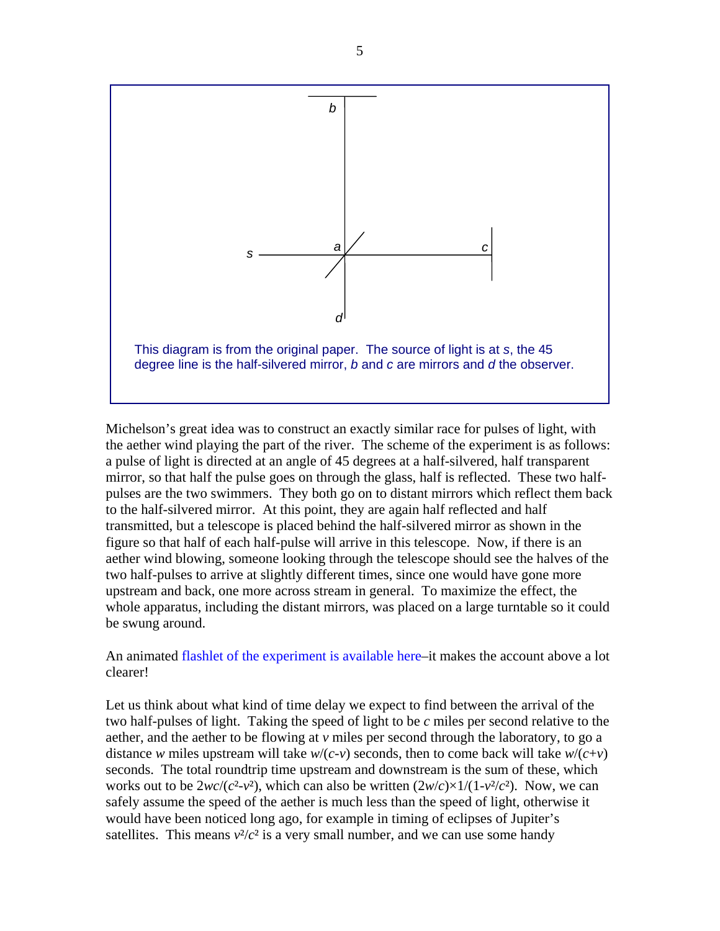

Michelson's great idea was to construct an exactly similar race for pulses of light, with the aether wind playing the part of the river. The scheme of the experiment is as follows: a pulse of light is directed at an angle of 45 degrees at a half-silvered, half transparent mirror, so that half the pulse goes on through the glass, half is reflected. These two halfpulses are the two swimmers. They both go on to distant mirrors which reflect them back to the half-silvered mirror. At this point, they are again half reflected and half transmitted, but a telescope is placed behind the half-silvered mirror as shown in the figure so that half of each half-pulse will arrive in this telescope. Now, if there is an aether wind blowing, someone looking through the telescope should see the halves of the two half-pulses to arrive at slightly different times, since one would have gone more upstream and back, one more across stream in general. To maximize the effect, the whole apparatus, including the distant mirrors, was placed on a large turntable so it could be swung around.

An animated [flashlet of the experiment is available here](http://galileoandeinstein.physics.virginia.edu/more_stuff/flashlets/mmexpt6.htm)–it makes the account above a lot clearer!

Let us think about what kind of time delay we expect to find between the arrival of the two half-pulses of light. Taking the speed of light to be *c* miles per second relative to the aether, and the aether to be flowing at *v* miles per second through the laboratory, to go a distance *w* miles upstream will take  $w/(c-v)$  seconds, then to come back will take  $w/(c+v)$ seconds. The total roundtrip time upstream and downstream is the sum of these, which works out to be  $2wc/(c^2-v^2)$ , which can also be written  $(2w/c)\times 1/(1-v^2/c^2)$ . Now, we can safely assume the speed of the aether is much less than the speed of light, otherwise it would have been noticed long ago, for example in timing of eclipses of Jupiter's satellites. This means  $v^2/c^2$  is a very small number, and we can use some handy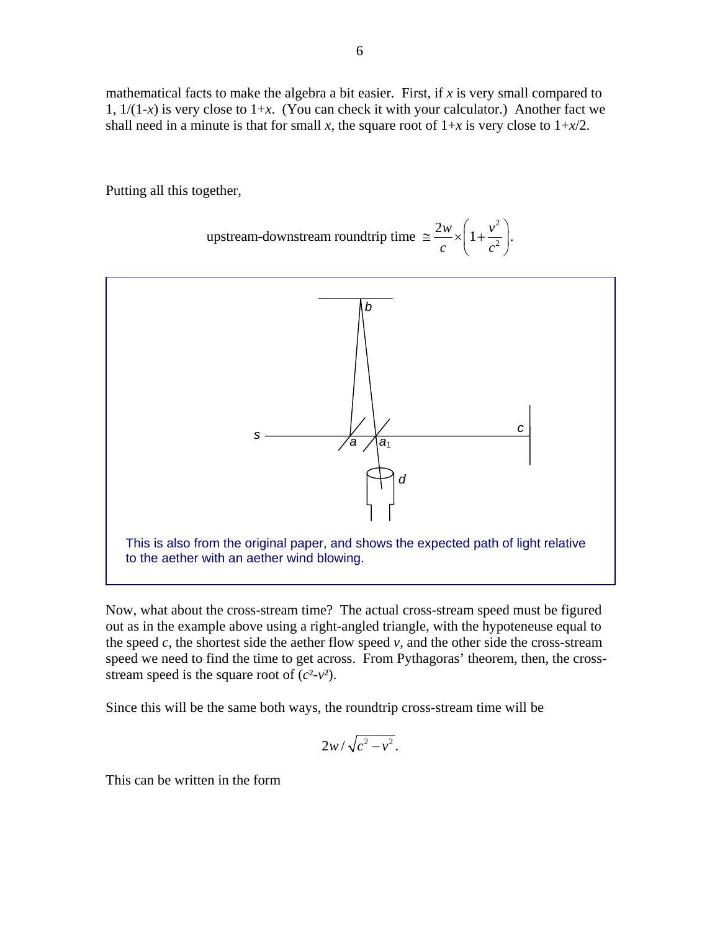mathematical facts to make the algebra a bit easier. First, if *x* is very small compared to 1,  $1/(1-x)$  is very close to  $1+x$ . (You can check it with your calculator.) Another fact we shall need in a minute is that for small *x*, the square root of  $1+x$  is very close to  $1+x/2$ .

Putting all this together,

upstream-downstream roundtrip time 
$$
\approx \frac{2w}{c} \times \left(1 + \frac{v^2}{c^2}\right)
$$
.



Now, what about the cross-stream time? The actual cross-stream speed must be figured out as in the example above using a right-angled triangle, with the hypoteneuse equal to the speed  $c$ , the shortest side the aether flow speed  $v$ , and the other side the cross-stream speed we need to find the time to get across. From Pythagoras' theorem, then, the crossstream speed is the square root of  $(c^2-v^2)$ .

Since this will be the same both ways, the roundtrip cross-stream time will be

$$
2w/\sqrt{c^2-v^2}.
$$

This can be written in the form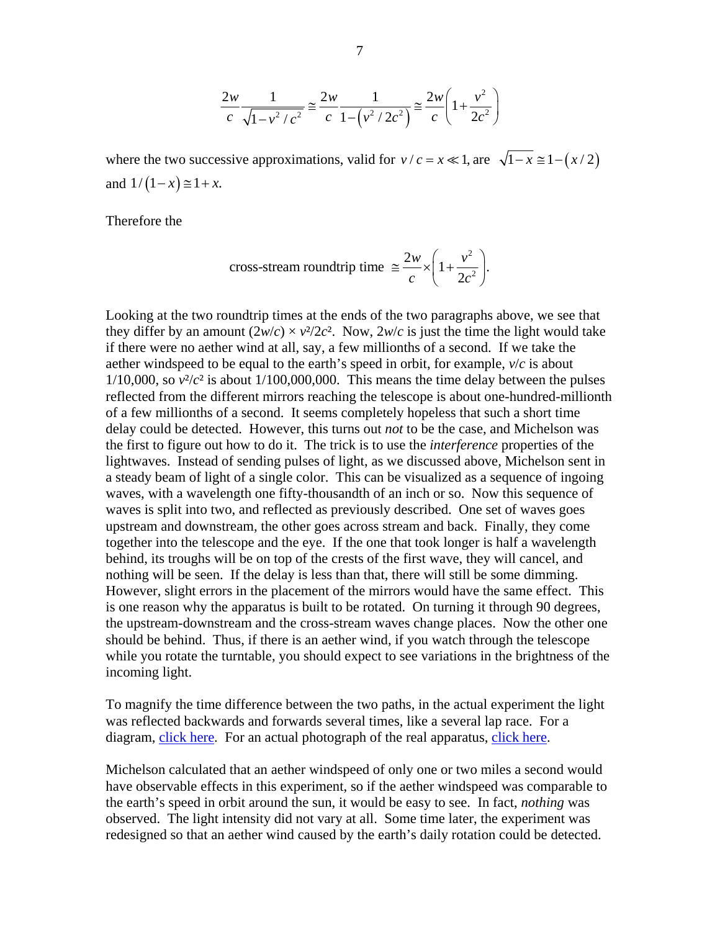$$
\frac{2w}{c} \frac{1}{\sqrt{1 - v^2/c^2}} \approx \frac{2w}{c} \frac{1}{1 - (v^2/2c^2)} \approx \frac{2w}{c} \left(1 + \frac{v^2}{2c^2}\right)
$$

where the two successive approximations, valid for  $v/c = x \ll 1$ , are  $\sqrt{1-x} \approx 1-(x/2)$ and  $1/(1-x) \approx 1+x$ .

Therefore the

cross-stream roundtrip time 
$$
\approx \frac{2w}{c} \times \left(1 + \frac{v^2}{2c^2}\right)
$$
.

Looking at the two roundtrip times at the ends of the two paragraphs above, we see that they differ by an amount  $(2w/c) \times v^2/2c^2$ . Now,  $2w/c$  is just the time the light would take if there were no aether wind at all, say, a few millionths of a second. If we take the aether windspeed to be equal to the earth's speed in orbit, for example, *v*/*c* is about  $1/10,000$ , so  $v^2/c^2$  is about  $1/100,000,000$ . This means the time delay between the pulses reflected from the different mirrors reaching the telescope is about one-hundred-millionth of a few millionths of a second. It seems completely hopeless that such a short time delay could be detected. However, this turns out *not* to be the case, and Michelson was the first to figure out how to do it. The trick is to use the *interference* properties of the lightwaves. Instead of sending pulses of light, as we discussed above, Michelson sent in a steady beam of light of a single color. This can be visualized as a sequence of ingoing waves, with a wavelength one fifty-thousandth of an inch or so. Now this sequence of waves is split into two, and reflected as previously described. One set of waves goes upstream and downstream, the other goes across stream and back. Finally, they come together into the telescope and the eye. If the one that took longer is half a wavelength behind, its troughs will be on top of the crests of the first wave, they will cancel, and nothing will be seen. If the delay is less than that, there will still be some dimming. However, slight errors in the placement of the mirrors would have the same effect. This is one reason why the apparatus is built to be rotated. On turning it through 90 degrees, the upstream-downstream and the cross-stream waves change places. Now the other one should be behind. Thus, if there is an aether wind, if you watch through the telescope while you rotate the turntable, you should expect to see variations in the brightness of the incoming light.

To magnify the time difference between the two paths, in the actual experiment the light was reflected backwards and forwards several times, like a several lap race. For a diagram, [click here](http://carnap.umd.edu:90/phil250/images/1887_intf_color.gif). For an actual photograph of the real apparatus, [click here](http://carnap.umd.edu:90/phil250/images/Michelson_Morley_intf.gif).

Michelson calculated that an aether windspeed of only one or two miles a second would have observable effects in this experiment, so if the aether windspeed was comparable to the earth's speed in orbit around the sun, it would be easy to see. In fact, *nothing* was observed. The light intensity did not vary at all. Some time later, the experiment was redesigned so that an aether wind caused by the earth's daily rotation could be detected.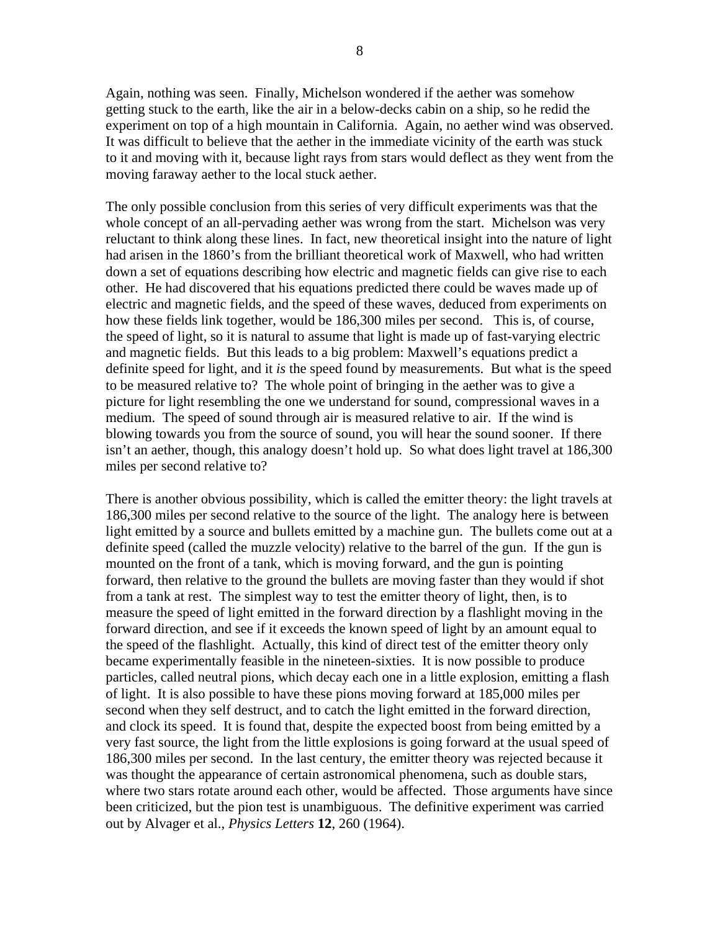Again, nothing was seen. Finally, Michelson wondered if the aether was somehow getting stuck to the earth, like the air in a below-decks cabin on a ship, so he redid the experiment on top of a high mountain in California. Again, no aether wind was observed. It was difficult to believe that the aether in the immediate vicinity of the earth was stuck to it and moving with it, because light rays from stars would deflect as they went from the moving faraway aether to the local stuck aether.

The only possible conclusion from this series of very difficult experiments was that the whole concept of an all-pervading aether was wrong from the start. Michelson was very reluctant to think along these lines. In fact, new theoretical insight into the nature of light had arisen in the 1860's from the brilliant theoretical work of Maxwell, who had written down a set of equations describing how electric and magnetic fields can give rise to each other. He had discovered that his equations predicted there could be waves made up of electric and magnetic fields, and the speed of these waves, deduced from experiments on how these fields link together, would be 186,300 miles per second. This is, of course, the speed of light, so it is natural to assume that light is made up of fast-varying electric and magnetic fields. But this leads to a big problem: Maxwell's equations predict a definite speed for light, and it *is* the speed found by measurements. But what is the speed to be measured relative to? The whole point of bringing in the aether was to give a picture for light resembling the one we understand for sound, compressional waves in a medium. The speed of sound through air is measured relative to air. If the wind is blowing towards you from the source of sound, you will hear the sound sooner. If there isn't an aether, though, this analogy doesn't hold up. So what does light travel at 186,300 miles per second relative to?

There is another obvious possibility, which is called the emitter theory: the light travels at 186,300 miles per second relative to the source of the light. The analogy here is between light emitted by a source and bullets emitted by a machine gun. The bullets come out at a definite speed (called the muzzle velocity) relative to the barrel of the gun. If the gun is mounted on the front of a tank, which is moving forward, and the gun is pointing forward, then relative to the ground the bullets are moving faster than they would if shot from a tank at rest. The simplest way to test the emitter theory of light, then, is to measure the speed of light emitted in the forward direction by a flashlight moving in the forward direction, and see if it exceeds the known speed of light by an amount equal to the speed of the flashlight. Actually, this kind of direct test of the emitter theory only became experimentally feasible in the nineteen-sixties. It is now possible to produce particles, called neutral pions, which decay each one in a little explosion, emitting a flash of light. It is also possible to have these pions moving forward at 185,000 miles per second when they self destruct, and to catch the light emitted in the forward direction, and clock its speed. It is found that, despite the expected boost from being emitted by a very fast source, the light from the little explosions is going forward at the usual speed of 186,300 miles per second. In the last century, the emitter theory was rejected because it was thought the appearance of certain astronomical phenomena, such as double stars, where two stars rotate around each other, would be affected. Those arguments have since been criticized, but the pion test is unambiguous. The definitive experiment was carried out by Alvager et al., *Physics Letters* **12**, 260 (1964).